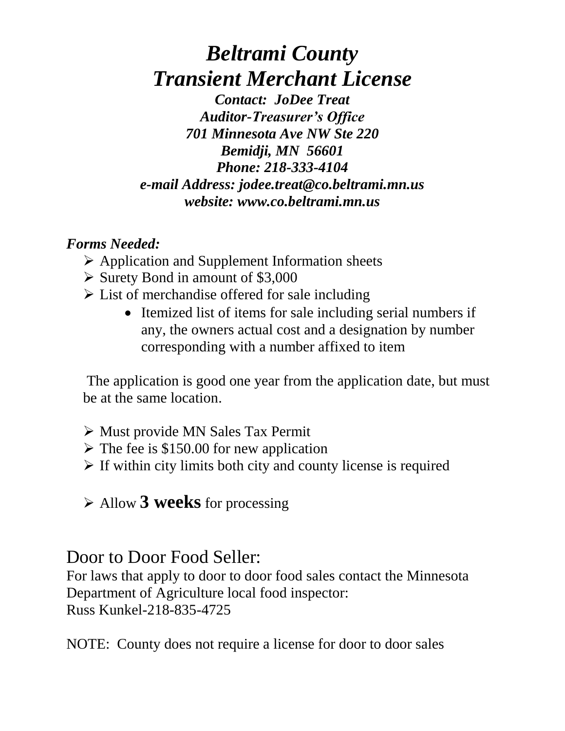## *Beltrami County Transient Merchant License*

*Contact: JoDee Treat Auditor-Treasurer's Office 701 Minnesota Ave NW Ste 220 Bemidji, MN 56601 Phone: 218-333-4104 e-mail Address: jodee.treat@co.beltrami.mn.us website: www.co.beltrami.mn.us*

### *Forms Needed:*

- $\triangleright$  Application and Supplement Information sheets
- $\triangleright$  Surety Bond in amount of \$3,000
- $\triangleright$  List of merchandise offered for sale including
	- Itemized list of items for sale including serial numbers if any, the owners actual cost and a designation by number corresponding with a number affixed to item

The application is good one year from the application date, but must be at the same location.

- Must provide MN Sales Tax Permit
- $\triangleright$  The fee is \$150.00 for new application
- $\triangleright$  If within city limits both city and county license is required
- Allow **3 weeks** for processing

## Door to Door Food Seller:

For laws that apply to door to door food sales contact the Minnesota Department of Agriculture local food inspector: Russ Kunkel-218-835-4725

NOTE: County does not require a license for door to door sales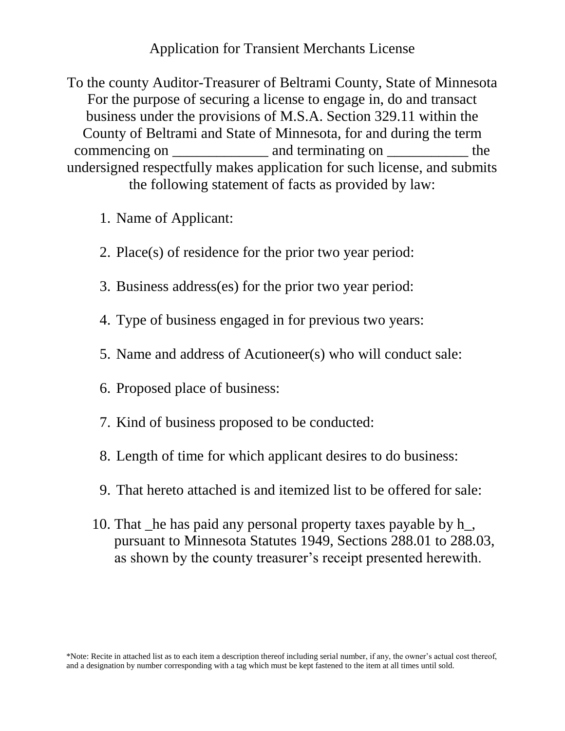#### Application for Transient Merchants License

To the county Auditor-Treasurer of Beltrami County, State of Minnesota For the purpose of securing a license to engage in, do and transact business under the provisions of M.S.A. Section 329.11 within the County of Beltrami and State of Minnesota, for and during the term commencing on \_\_\_\_\_\_\_\_\_\_\_\_\_\_\_\_ and terminating on \_\_\_\_\_\_\_\_\_\_\_\_\_\_\_ the undersigned respectfully makes application for such license, and submits the following statement of facts as provided by law:

- 1. Name of Applicant:
- 2. Place(s) of residence for the prior two year period:
- 3. Business address(es) for the prior two year period:
- 4. Type of business engaged in for previous two years:
- 5. Name and address of Acutioneer(s) who will conduct sale:
- 6. Proposed place of business:
- 7. Kind of business proposed to be conducted:
- 8. Length of time for which applicant desires to do business:
- 9. That hereto attached is and itemized list to be offered for sale:
- 10. That \_he has paid any personal property taxes payable by h\_, pursuant to Minnesota Statutes 1949, Sections 288.01 to 288.03, as shown by the county treasurer's receipt presented herewith.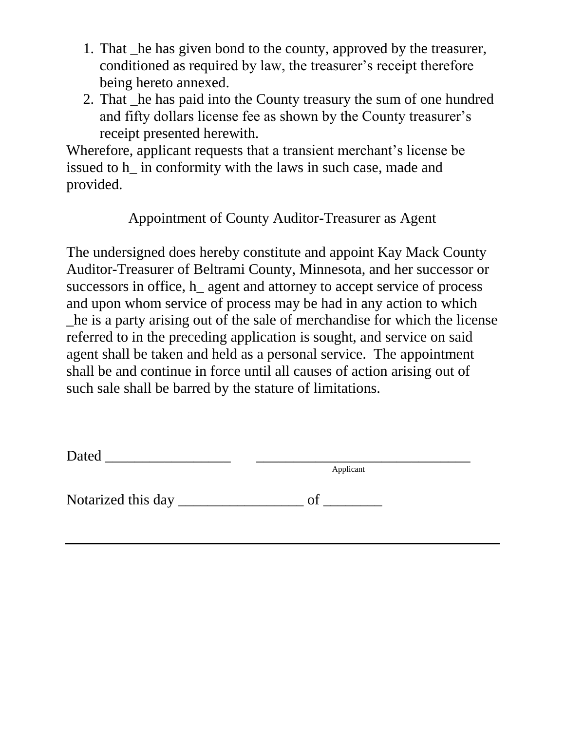- 1. That \_he has given bond to the county, approved by the treasurer, conditioned as required by law, the treasurer's receipt therefore being hereto annexed.
- 2. That \_he has paid into the County treasury the sum of one hundred and fifty dollars license fee as shown by the County treasurer's receipt presented herewith.

Wherefore, applicant requests that a transient merchant's license be issued to h\_ in conformity with the laws in such case, made and provided.

Appointment of County Auditor-Treasurer as Agent

The undersigned does hereby constitute and appoint Kay Mack County Auditor-Treasurer of Beltrami County, Minnesota, and her successor or successors in office, h agent and attorney to accept service of process and upon whom service of process may be had in any action to which \_he is a party arising out of the sale of merchandise for which the license referred to in the preceding application is sought, and service on said agent shall be taken and held as a personal service. The appointment shall be and continue in force until all causes of action arising out of such sale shall be barred by the stature of limitations.

| Dated              |           |  |
|--------------------|-----------|--|
|                    | Applicant |  |
| Notarized this day | വ         |  |